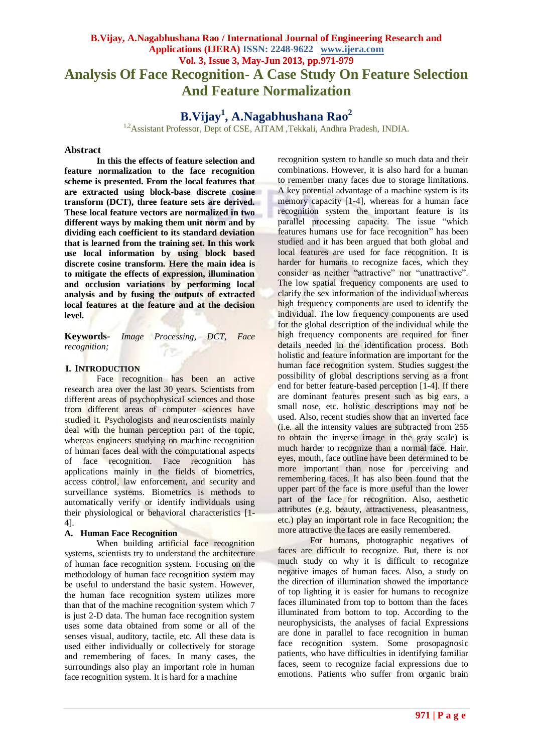# **B.Vijay, A.Nagabhushana Rao / International Journal of Engineering Research and Applications (IJERA) ISSN: 2248-9622 www.ijera.com Vol. 3, Issue 3, May-Jun 2013, pp.971-979 Analysis Of Face Recognition- A Case Study On Feature Selection And Feature Normalization**

# **B.Vijay<sup>1</sup> , A.Nagabhushana Rao<sup>2</sup>**

<sup>1,2</sup>Assistant Professor, Dept of CSE, AITAM ,Tekkali, Andhra Pradesh, INDIA.

#### **Abstract**

**In this the effects of feature selection and feature normalization to the face recognition scheme is presented. From the local features that are extracted using block-base discrete cosine transform (DCT), three feature sets are derived. These local feature vectors are normalized in two different ways by making them unit norm and by dividing each coefficient to its standard deviation that is learned from the training set. In this work use local information by using block based discrete cosine transform. Here the main idea is to mitigate the effects of expression, illumination and occlusion variations by performing local analysis and by fusing the outputs of extracted local features at the feature and at the decision level.**

**Keywords-** *Image Processing, DCT, Face recognition;*

#### **I. INTRODUCTION**

Face recognition has been an active research area over the last 30 years. Scientists from different areas of psychophysical sciences and those from different areas of computer sciences have studied it. Psychologists and neuroscientists mainly deal with the human perception part of the topic, whereas engineers studying on machine recognition of human faces deal with the computational aspects of face recognition. Face recognition has applications mainly in the fields of biometrics, access control, law enforcement, and security and surveillance systems. Biometrics is methods to automatically verify or identify individuals using their physiological or behavioral characteristics [1- 4].

### **A. Human Face Recognition**

When building artificial face recognition systems, scientists try to understand the architecture of human face recognition system. Focusing on the methodology of human face recognition system may be useful to understand the basic system. However, the human face recognition system utilizes more than that of the machine recognition system which 7 is just 2-D data. The human face recognition system uses some data obtained from some or all of the senses visual, auditory, tactile, etc. All these data is used either individually or collectively for storage and remembering of faces. In many cases, the surroundings also play an important role in human face recognition system. It is hard for a machine

recognition system to handle so much data and their combinations. However, it is also hard for a human to remember many faces due to storage limitations. A key potential advantage of a machine system is its memory capacity [1-4], whereas for a human face recognition system the important feature is its parallel processing capacity. The issue "which features humans use for face recognition" has been studied and it has been argued that both global and local features are used for face recognition. It is harder for humans to recognize faces, which they consider as neither "attractive" nor "unattractive". The low spatial frequency components are used to clarify the sex information of the individual whereas high frequency components are used to identify the individual. The low frequency components are used for the global description of the individual while the high frequency components are required for finer details needed in the identification process. Both holistic and feature information are important for the human face recognition system. Studies suggest the possibility of global descriptions serving as a front end for better feature-based perception [1-4]. If there are dominant features present such as big ears, a small nose, etc. holistic descriptions may not be used. Also, recent studies show that an inverted face (i.e. all the intensity values are subtracted from 255 to obtain the inverse image in the gray scale) is much harder to recognize than a normal face. Hair, eyes, mouth, face outline have been determined to be more important than nose for perceiving and remembering faces. It has also been found that the upper part of the face is more useful than the lower part of the face for recognition. Also, aesthetic attributes (e.g. beauty, attractiveness, pleasantness, etc.) play an important role in face Recognition; the more attractive the faces are easily remembered.

For humans, photographic negatives of faces are difficult to recognize. But, there is not much study on why it is difficult to recognize negative images of human faces. Also, a study on the direction of illumination showed the importance of top lighting it is easier for humans to recognize faces illuminated from top to bottom than the faces illuminated from bottom to top. According to the neurophysicists, the analyses of facial Expressions are done in parallel to face recognition in human face recognition system. Some prosopagnosic patients, who have difficulties in identifying familiar faces, seem to recognize facial expressions due to emotions. Patients who suffer from organic brain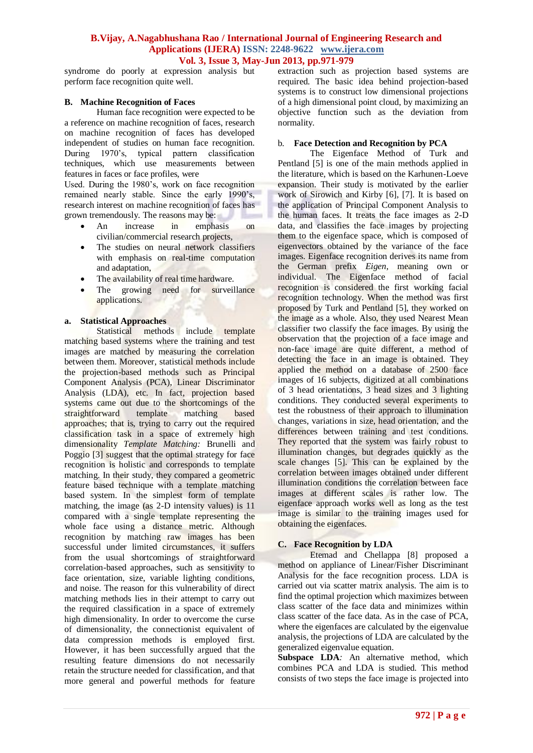syndrome do poorly at expression analysis but perform face recognition quite well.

### **B. Machine Recognition of Faces**

Human face recognition were expected to be a reference on machine recognition of faces, research on machine recognition of faces has developed independent of studies on human face recognition. During 1970's, typical pattern classification techniques, which use measurements between features in faces or face profiles, were

Used. During the 1980's, work on face recognition remained nearly stable. Since the early 1990's, research interest on machine recognition of faces has grown tremendously. The reasons may be: **Barnet** 

- An increase in emphasis on civilian/commercial research projects,
- The studies on neural network classifiers with emphasis on real-time computation and adaptation,
- The availability of real time hardware.
- The growing need for surveillance applications.

### **a. Statistical Approaches**

Statistical methods include template matching based systems where the training and test images are matched by measuring the correlation between them. Moreover, statistical methods include the projection-based methods such as Principal Component Analysis (PCA), Linear Discriminator Analysis (LDA), etc. In fact, projection based systems came out due to the shortcomings of the straightforward template matching based approaches; that is, trying to carry out the required classification task in a space of extremely high dimensionality *Template Matching:* Brunelli and Poggio [3] suggest that the optimal strategy for face recognition is holistic and corresponds to template matching. In their study, they compared a geometric feature based technique with a template matching based system. In the simplest form of template matching, the image (as 2-D intensity values) is 11 compared with a single template representing the whole face using a distance metric. Although recognition by matching raw images has been successful under limited circumstances, it suffers from the usual shortcomings of straightforward correlation-based approaches, such as sensitivity to face orientation, size, variable lighting conditions, and noise. The reason for this vulnerability of direct matching methods lies in their attempt to carry out the required classification in a space of extremely high dimensionality. In order to overcome the curse of dimensionality, the connectionist equivalent of data compression methods is employed first. However, it has been successfully argued that the resulting feature dimensions do not necessarily retain the structure needed for classification, and that more general and powerful methods for feature

extraction such as projection based systems are required. The basic idea behind projection-based systems is to construct low dimensional projections of a high dimensional point cloud, by maximizing an objective function such as the deviation from normality.

# b. **Face Detection and Recognition by PCA**

The Eigenface Method of Turk and Pentland [5] is one of the main methods applied in the literature, which is based on the Karhunen-Loeve expansion. Their study is motivated by the earlier work of Sirowich and Kirby [6], [7]. It is based on the application of Principal Component Analysis to the human faces. It treats the face images as 2-D data, and classifies the face images by projecting them to the eigenface space, which is composed of eigenvectors obtained by the variance of the face images. Eigenface recognition derives its name from the German prefix *Eigen*, meaning own or individual. The Eigenface method of facial recognition is considered the first working facial recognition technology. When the method was first proposed by Turk and Pentland [5], they worked on the image as a whole. Also, they used Nearest Mean classifier two classify the face images. By using the observation that the projection of a face image and non-face image are quite different, a method of detecting the face in an image is obtained. They applied the method on a database of 2500 face images of 16 subjects, digitized at all combinations of 3 head orientations, 3 head sizes and 3 lighting conditions. They conducted several experiments to test the robustness of their approach to illumination changes, variations in size, head orientation, and the differences between training and test conditions. They reported that the system was fairly robust to illumination changes, but degrades quickly as the scale changes [5]. This can be explained by the correlation between images obtained under different illumination conditions the correlation between face images at different scales is rather low. The eigenface approach works well as long as the test image is similar to the training images used for obtaining the eigenfaces.

# **C. Face Recognition by LDA**

Etemad and Chellappa [8] proposed a method on appliance of Linear/Fisher Discriminant Analysis for the face recognition process. LDA is carried out via scatter matrix analysis. The aim is to find the optimal projection which maximizes between class scatter of the face data and minimizes within class scatter of the face data. As in the case of PCA, where the eigenfaces are calculated by the eigenvalue analysis, the projections of LDA are calculated by the generalized eigenvalue equation.

**Subspace LDA***:* An alternative method, which combines PCA and LDA is studied. This method consists of two steps the face image is projected into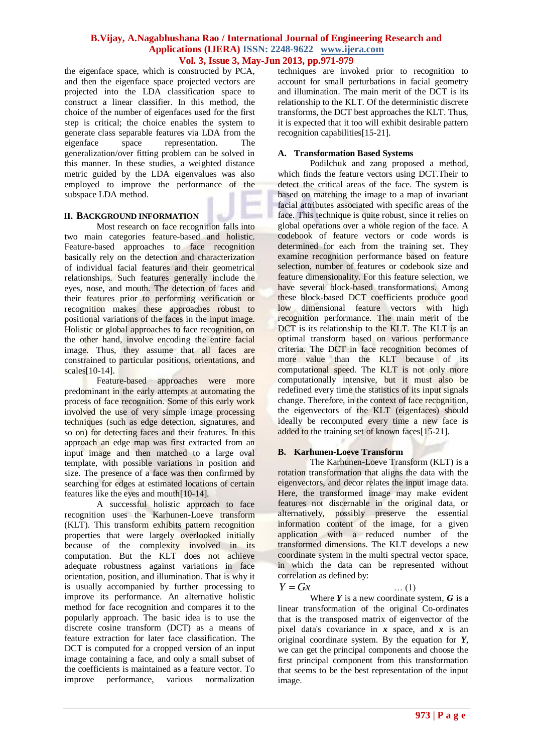the eigenface space, which is constructed by PCA, and then the eigenface space projected vectors are projected into the LDA classification space to construct a linear classifier. In this method, the choice of the number of eigenfaces used for the first step is critical; the choice enables the system to generate class separable features via LDA from the eigenface space representation. The generalization/over fitting problem can be solved in this manner. In these studies, a weighted distance metric guided by the LDA eigenvalues was also employed to improve the performance of the subspace LDA method.

# **II. BACKGROUND INFORMATION**

Most research on face recognition falls into two main categories feature-based and holistic. Feature-based approaches to face recognition basically rely on the detection and characterization of individual facial features and their geometrical relationships. Such features generally include the eyes, nose, and mouth. The detection of faces and their features prior to performing verification or recognition makes these approaches robust to positional variations of the faces in the input image. Holistic or global approaches to face recognition, on the other hand, involve encoding the entire facial image. Thus, they assume that all faces are constrained to particular positions, orientations, and scales[10-14].

Feature-based approaches were more predominant in the early attempts at automating the process of face recognition. Some of this early work involved the use of very simple image processing techniques (such as edge detection, signatures, and so on) for detecting faces and their features. In this approach an edge map was first extracted from an input image and then matched to a large oval template, with possible variations in position and size. The presence of a face was then confirmed by searching for edges at estimated locations of certain features like the eyes and mouth[10-14].

A successful holistic approach to face recognition uses the Karhunen-Loeve transform (KLT). This transform exhibits pattern recognition properties that were largely overlooked initially because of the complexity involved in its computation. But the KLT does not achieve adequate robustness against variations in face orientation, position, and illumination. That is why it is usually accompanied by further processing to improve its performance. An alternative holistic method for face recognition and compares it to the popularly approach. The basic idea is to use the discrete cosine transform (DCT) as a means of feature extraction for later face classification. The DCT is computed for a cropped version of an input image containing a face, and only a small subset of the coefficients is maintained as a feature vector. To improve performance, various normalization

techniques are invoked prior to recognition to account for small perturbations in facial geometry and illumination. The main merit of the DCT is its relationship to the KLT. Of the deterministic discrete transforms, the DCT best approaches the KLT. Thus, it is expected that it too will exhibit desirable pattern recognition capabilities[15-21].

# **A. Transformation Based Systems**

Podilchuk and zang proposed a method, which finds the feature vectors using DCT.Their to detect the critical areas of the face. The system is based on matching the image to a map of invariant facial attributes associated with specific areas of the face. This technique is quite robust, since it relies on global operations over a whole region of the face. A codebook of feature vectors or code words is determined for each from the training set. They examine recognition performance based on feature selection, number of features or codebook size and feature dimensionality. For this feature selection, we have several block-based transformations. Among these block-based DCT coefficients produce good low dimensional feature vectors with high recognition performance. The main merit of the DCT is its relationship to the KLT. The KLT is an optimal transform based on various performance criteria. The DCT in face recognition becomes of more value than the KLT because of its computational speed. The KLT is not only more computationally intensive, but it must also be redefined every time the statistics of its input signals change. Therefore, in the context of face recognition, the eigenvectors of the KLT (eigenfaces) should ideally be recomputed every time a new face is added to the training set of known faces[15-21].

# **B. Karhunen-Loeve Transform**

The Karhunen-Loeve Transform (KLT) is a rotation transformation that aligns the data with the eigenvectors, and decor relates the input image data. Here, the transformed image may make evident features not discernable in the original data, or alternatively, possibly preserve the essential information content of the image, for a given application with a reduced number of the transformed dimensions. The KLT develops a new coordinate system in the multi spectral vector space, in which the data can be represented without correlation as defined by:

# *Y Gx* … (1)

Where *Y* is a new coordinate system, *G* is a linear transformation of the original Co-ordinates that is the transposed matrix of eigenvector of the pixel data's covariance in *x* space, and *x* is an original coordinate system. By the equation for *Y*, we can get the principal components and choose the first principal component from this transformation that seems to be the best representation of the input image.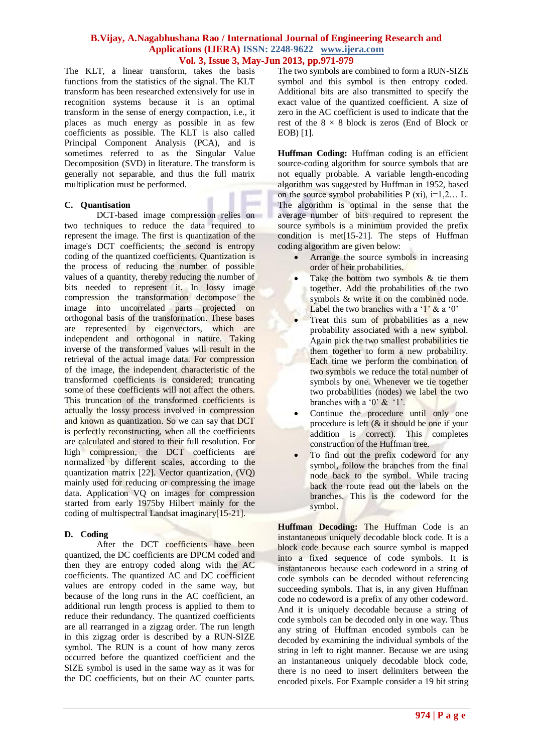The KLT, a linear transform, takes the basis functions from the statistics of the signal. The KLT transform has been researched extensively for use in recognition systems because it is an optimal transform in the sense of energy compaction, i.e., it places as much energy as possible in as few coefficients as possible. The KLT is also called Principal Component Analysis (PCA), and is sometimes referred to as the Singular Value Decomposition (SVD) in literature. The transform is generally not separable, and thus the full matrix multiplication must be performed.

# **C. Quantisation**

DCT-based image compression relies on two techniques to reduce the data required to represent the image. The first is quantization of the image's DCT coefficients; the second is entropy coding of the quantized coefficients. Quantization is the process of reducing the number of possible values of a quantity, thereby reducing the number of bits needed to represent it. In lossy image compression the transformation decompose the image into uncorrelated parts projected on orthogonal basis of the transformation. These bases are represented by eigenvectors, which are independent and orthogonal in nature. Taking inverse of the transformed values will result in the retrieval of the actual image data. For compression of the image, the independent characteristic of the transformed coefficients is considered; truncating some of these coefficients will not affect the others. This truncation of the transformed coefficients is actually the lossy process involved in compression and known as quantization. So we can say that DCT is perfectly reconstructing, when all the coefficients are calculated and stored to their full resolution. For high compression, the DCT coefficients are normalized by different scales, according to the quantization matrix [22]. Vector quantization, (VQ) mainly used for reducing or compressing the image data. Application VQ on images for compression started from early 1975by Hilbert mainly for the coding of multispectral Landsat imaginary[15-21].

# **D. Coding**

After the DCT coefficients have been quantized, the DC coefficients are DPCM coded and then they are entropy coded along with the AC coefficients. The quantized AC and DC coefficient values are entropy coded in the same way, but because of the long runs in the AC coefficient, an additional run length process is applied to them to reduce their redundancy. The quantized coefficients are all rearranged in a zigzag order. The run length in this zigzag order is described by a RUN-SIZE symbol. The RUN is a count of how many zeros occurred before the quantized coefficient and the SIZE symbol is used in the same way as it was for the DC coefficients, but on their AC counter parts.

The two symbols are combined to form a RUN-SIZE symbol and this symbol is then entropy coded. Additional bits are also transmitted to specify the exact value of the quantized coefficient. A size of zero in the AC coefficient is used to indicate that the rest of the  $8 \times 8$  block is zeros (End of Block or EOB) [1].

**Huffman Coding:** Huffman coding is an efficient source-coding algorithm for source symbols that are not equally probable. A variable length-encoding algorithm was suggested by Huffman in 1952, based on the source symbol probabilities  $P (xi)$ , i=1,2... L. The algorithm is optimal in the sense that the average number of bits required to represent the source symbols is a minimum provided the prefix condition is met[15-21]. The steps of Huffman coding algorithm are given below:

- Arrange the source symbols in increasing order of heir probabilities.
- Take the bottom two symbols & tie them together. Add the probabilities of the two symbols & write it on the combined node. Label the two branches with a  $1'$  & a  $0'$
- Treat this sum of probabilities as a new probability associated with a new symbol. Again pick the two smallest probabilities tie them together to form a new probability. Each time we perform the combination of two symbols we reduce the total number of symbols by one. Whenever we tie together two probabilities (nodes) we label the two branches with a  $0'$  &  $1'$ .
- Continue the procedure until only one procedure is left (& it should be one if your addition is correct). This completes construction of the Huffman tree.
- To find out the prefix codeword for any symbol, follow the branches from the final node back to the symbol. While tracing back the route read out the labels on the branches. This is the codeword for the symbol.

**Huffman Decoding:** The Huffman Code is an instantaneous uniquely decodable block code. It is a block code because each source symbol is mapped into a fixed sequence of code symbols. It is instantaneous because each codeword in a string of code symbols can be decoded without referencing succeeding symbols. That is, in any given Huffman code no codeword is a prefix of any other codeword. And it is uniquely decodable because a string of code symbols can be decoded only in one way. Thus any string of Huffman encoded symbols can be decoded by examining the individual symbols of the string in left to right manner. Because we are using an instantaneous uniquely decodable block code, there is no need to insert delimiters between the encoded pixels. For Example consider a 19 bit string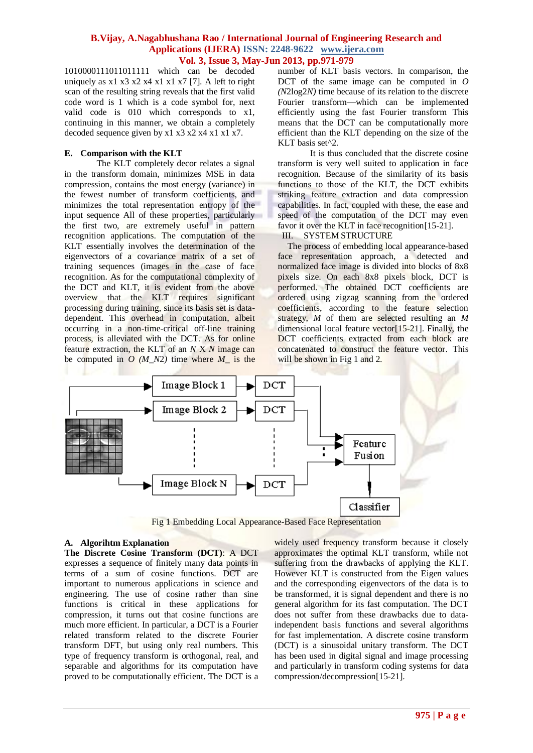1010000111011011111 which can be decoded uniquely as  $x1 x3 x2 x4 x1 x1 x7$  [7]. A left to right scan of the resulting string reveals that the first valid code word is 1 which is a code symbol for, next valid code is 010 which corresponds to x1, continuing in this manner, we obtain a completely decoded sequence given by x1 x3 x2 x4 x1 x1 x7.

### **E. Comparison with the KLT**

The KLT completely decor relates a signal in the transform domain, minimizes MSE in data compression, contains the most energy (variance) in the fewest number of transform coefficients, and minimizes the total representation entropy of the input sequence All of these properties, particularly the first two, are extremely useful in pattern recognition applications. The computation of the KLT essentially involves the determination of the eigenvectors of a covariance matrix of a set of training sequences (images in the case of face recognition. As for the computational complexity of the DCT and KLT, it is evident from the above overview that the KLT requires significant processing during training, since its basis set is datadependent. This overhead in computation, albeit occurring in a non-time-critical off-line training process, is alleviated with the DCT. As for online feature extraction, the KLT of an *N* X *N* image can be computed in  $O(M_N^2)$  time where  $M_{\perp}$  is the

number of KLT basis vectors. In comparison, the DCT of the same image can be computed in *O (N*2log2*N)* time because of its relation to the discrete Fourier transform—which can be implemented efficiently using the fast Fourier transform This means that the DCT can be computationally more efficient than the KLT depending on the size of the KLT basis set^2.

It is thus concluded that the discrete cosine transform is very well suited to application in face recognition. Because of the similarity of its basis functions to those of the KLT, the DCT exhibits striking feature extraction and data compression capabilities. In fact, coupled with these, the ease and speed of the computation of the DCT may even favor it over the KLT in face recognition [15-21].

III. SYSTEM STRUCTURE

The process of embedding local appearance-based face representation approach, a detected and normalized face image is divided into blocks of 8x8 pixels size. On each 8x8 pixels block, DCT is performed. The obtained DCT coefficients are ordered using zigzag scanning from the ordered coefficients, according to the feature selection strategy, *M* of them are selected resulting an *M*  dimensional local feature vector[15-21]. Finally, the DCT coefficients extracted from each block are concatenated to construct the feature vector. This will be shown in Fig 1 and 2.



Fig 1 Embedding Local Appearance-Based Face Representation

# **A. Algorihtm Explanation**

**The Discrete Cosine Transform (DCT)**: A DCT expresses a sequence of finitely many data points in terms of a sum of cosine functions. DCT are important to numerous applications in science and engineering. The use of cosine rather than sine functions is critical in these applications for compression, it turns out that cosine functions are much more efficient. In particular, a DCT is a Fourier related transform related to the discrete Fourier transform DFT, but using only real numbers. This type of frequency transform is orthogonal, real, and separable and algorithms for its computation have proved to be computationally efficient. The DCT is a

widely used frequency transform because it closely approximates the optimal KLT transform, while not suffering from the drawbacks of applying the KLT. However KLT is constructed from the Eigen values and the corresponding eigenvectors of the data is to be transformed, it is signal dependent and there is no general algorithm for its fast computation. The DCT does not suffer from these drawbacks due to dataindependent basis functions and several algorithms for fast implementation. A discrete cosine transform (DCT) is a sinusoidal unitary transform. The DCT has been used in digital signal and image processing and particularly in transform coding systems for data compression/decompression[15-21].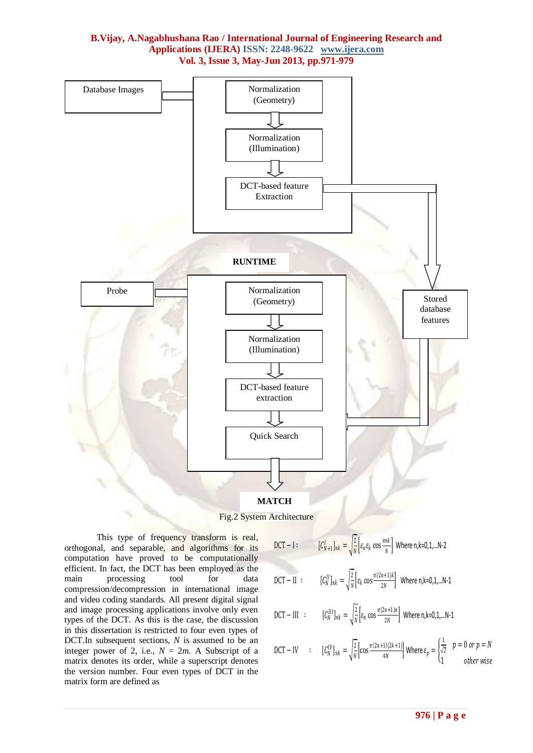

Fig.2 System Architecture

This type of frequency transform is real, orthogonal, and separable, and algorithms for its computation have proved to be computationally efficient. In fact, the DCT has been employed as the main processing tool for data compression/decompression in international image and video coding standards. All present digital signal and image processing applications involve only even types of the DCT. As this is the case, the discussion in this dissertation is restricted to four even types of DCT.In subsequent sections, *N* is assumed to be an integer power of 2, i.e.,  $N = 2m$ . A Subscript of a matrix denotes its order, while a superscript denotes the version number. Four even types of DCT in the matrix form are defined as

$$
DCT - I: \qquad [C_N^I + 1]_{nk} = \sqrt{\frac{2}{N}} \left[ \varepsilon_n \varepsilon_k \cos \frac{\pi n \kappa}{N} \right] \text{ Where } n, k = 0, 1, \dots N-2
$$
  
 
$$
DCT - II: \qquad [C_N^II]_{nk} = \sqrt{\frac{2}{N}} \left[ \varepsilon_k \cos \frac{\pi (2n+1)k}{2N} \right] \text{ Where } n, k = 0, 1, \dots N-1
$$

$$
\text{DCT} - \text{III} \quad : \qquad [C_N^{III}]_{nk} = \sqrt{\frac{2}{N}} \Big[ \varepsilon_n \cos \frac{\pi (2n+1)n}{2N} \Big] \text{ Where } n, k = 0, 1, \dots N-1
$$

$$
\text{DCT} - \text{IV} \qquad : \qquad [C_N^{\text{IV}}]_{nk} = \sqrt{\frac{2}{N}} \left[ \cos \frac{\pi (2n+1)(2k+1)}{4N} \right] \text{Where } \varepsilon_p = \begin{cases} \frac{1}{\sqrt{2}} & p = 0 \text{ or } p = N \\ 1 & \text{other wise} \end{cases}
$$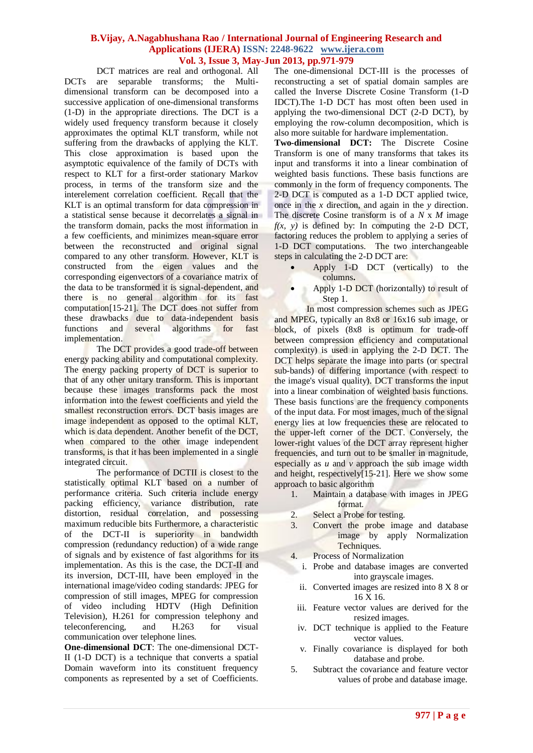DCT matrices are real and orthogonal. All DCTs are separable transforms; the Multidimensional transform can be decomposed into a successive application of one-dimensional transforms (1-D) in the appropriate directions. The DCT is a widely used frequency transform because it closely approximates the optimal KLT transform, while not suffering from the drawbacks of applying the KLT. This close approximation is based upon the asymptotic equivalence of the family of DCTs with respect to KLT for a first-order stationary Markov process, in terms of the transform size and the interelement correlation coefficient. Recall that the KLT is an optimal transform for data compression in a statistical sense because it decorrelates a signal in the transform domain, packs the most information in a few coefficients, and minimizes mean-square error between the reconstructed and original signal compared to any other transform. However, KLT is constructed from the eigen values and the corresponding eigenvectors of a covariance matrix of the data to be transformed it is signal-dependent, and there is no general algorithm for its fast computation[15-21]. The DCT does not suffer from these drawbacks due to data-independent basis<br>functions and several algorithms for fast functions and several algorithms for fast implementation.

The DCT provides a good trade-off between energy packing ability and computational complexity. The energy packing property of DCT is superior to that of any other unitary transform. This is important because these images transforms pack the most information into the fewest coefficients and yield the smallest reconstruction errors. DCT basis images are image independent as opposed to the optimal KLT, which is data dependent. Another benefit of the DCT, when compared to the other image independent transforms, is that it has been implemented in a single integrated circuit.

The performance of DCTII is closest to the statistically optimal KLT based on a number of performance criteria. Such criteria include energy packing efficiency, variance distribution, rate distortion, residual correlation, and possessing maximum reducible bits Furthermore, a characteristic of the DCT-II is superiority in bandwidth compression (redundancy reduction) of a wide range of signals and by existence of fast algorithms for its implementation. As this is the case, the DCT-II and its inversion, DCT-III, have been employed in the international image/video coding standards: JPEG for compression of still images, MPEG for compression of video including HDTV (High Definition Television), H.261 for compression telephony and teleconferencing, and H.263 for visual communication over telephone lines.

**One-dimensional DCT**: The one-dimensional DCT-II (1-D DCT) is a technique that converts a spatial Domain waveform into its constituent frequency components as represented by a set of Coefficients.

The one-dimensional DCT-III is the processes of reconstructing a set of spatial domain samples are called the Inverse Discrete Cosine Transform (1-D IDCT).The 1-D DCT has most often been used in applying the two-dimensional DCT (2-D DCT), by employing the row-column decomposition, which is also more suitable for hardware implementation.

**Two-dimensional DCT:** The Discrete Cosine Transform is one of many transforms that takes its input and transforms it into a linear combination of weighted basis functions. These basis functions are commonly in the form of frequency components. The 2-D DCT is computed as a 1-D DCT applied twice, once in the *x* direction, and again in the *y* direction. The discrete Cosine transform is of a *N* x *M* image  $f(x, y)$  is defined by: In computing the 2-D DCT, factoring reduces the problem to applying a series of 1-D DCT computations. The two interchangeable steps in calculating the 2-D DCT are:

- Apply 1-D DCT (vertically) to the columns**.**
- Apply 1-D DCT (horizontally) to result of Step 1.

In most compression schemes such as JPEG and MPEG, typically an 8x8 or 16x16 sub image, or block, of pixels (8x8 is optimum for trade-off between compression efficiency and computational complexity) is used in applying the 2-D DCT. The DCT helps separate the image into parts (or spectral sub-bands) of differing importance (with respect to the image's visual quality). DCT transforms the input into a linear combination of weighted basis functions. These basis functions are the frequency components of the input data. For most images, much of the signal energy lies at low frequencies these are relocated to the upper-left corner of the DCT. Conversely, the lower-right values of the DCT array represent higher frequencies, and turn out to be smaller in magnitude, especially as *u* and *v* approach the sub image width and height, respectively[15-21]. Here we show some approach to basic algorithm

- 1. Maintain a database with images in JPEG format.
- 2. Select a Probe for testing.
- 3. Convert the probe image and database image by apply Normalization Techniques.
- 4. Process of Normalization
	- i. Probe and database images are converted into grayscale images.
	- ii. Converted images are resized into 8 X 8 or 16 X 16.
	- iii. Feature vector values are derived for the resized images.
	- iv. DCT technique is applied to the Feature vector values.
	- v. Finally covariance is displayed for both database and probe.
- 5. Subtract the covariance and feature vector values of probe and database image.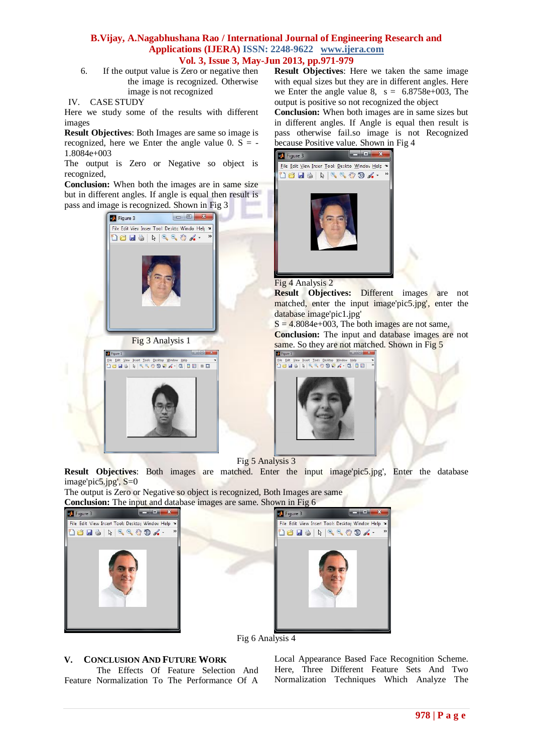6. If the output value is Zero or negative then the image is recognized. Otherwise image is not recognized

Here we study some of the results with different images

**Result Objectives**: Both Images are same so image is recognized, here we Enter the angle value  $0. S = -$ 1.8084e+003

The output is Zero or Negative so object is recognized,

**Conclusion:** When both the images are in same size but in different angles. If angle is equal then result is pass and image is recognized. Shown in Fig 3



**Result Objectives**: Here we taken the same image with equal sizes but they are in different angles. Here we Enter the angle value 8,  $s = 6.8758e+003$ , The output is positive so not recognized the object

**Conclusion:** When both images are in same sizes but in different angles. If Angle is equal then result is pass otherwise fail.so image is not Recognized because Positive value. Shown in Fig 4





**Result Objectives:** Different images are not matched, enter the input image'pic5.jpg', enter the database image'pic1.jpg'

 $S = 4.8084e+003$ , The both images are not same, **Conclusion:** The input and database images are not same. So they are not matched. Shown in Fig 5



Fig 5 Analysis 3

**Result Objectives**: Both images are matched. Enter the input image'pic5.jpg', Enter the database image'pic5.jpg', S=0

The output is Zero or Negative so object is recognized, Both Images are same **Conclusion:** The input and database images are same. Shown in Fig 6





Fig 6 Analysis 4

# **V. CONCLUSION AND FUTURE WORK**

The Effects Of Feature Selection And Feature Normalization To The Performance Of A Local Appearance Based Face Recognition Scheme. Here, Three Different Feature Sets And Two Normalization Techniques Which Analyze The

IV. CASE STUDY